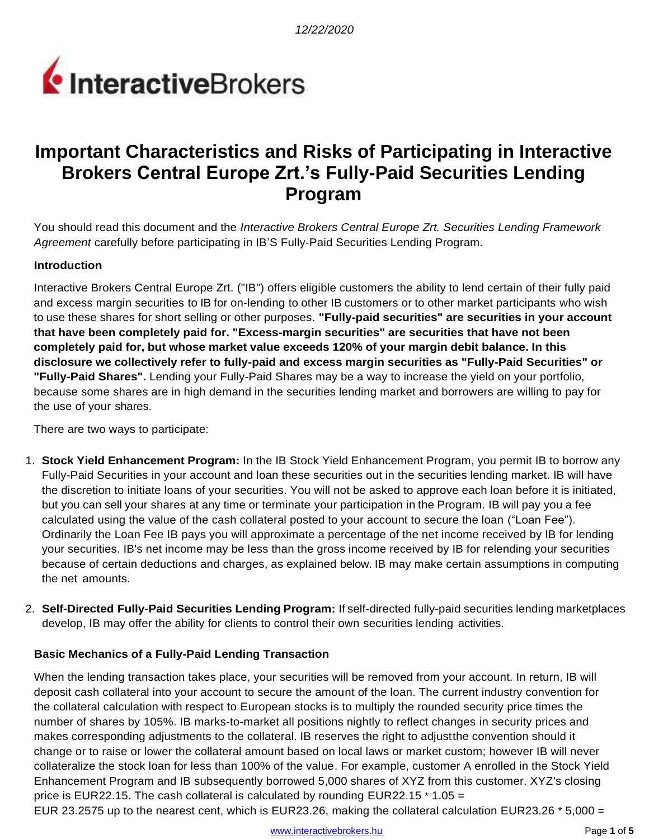

# **Important Characteristics and Risks of Participating in Interactive Brokers Central Europe Zrt.'s Fully-Paid Securities Lending Program**

You should read this document and the *Interactive Brokers Central Europe Zrt. Securities Lending Framework Agreement* carefully before participating in IB'S Fully-Paid Securities Lending Program.

### **Introduction**

Interactive Brokers Central Europe Zrt. ("IB") offers eligible customers the ability to lend certain of their fully paid and excess margin securities to IB for on-lending to other IB customers or to other market participants who wish to use these shares for short selling or other purposes. **"Fully-paid securities" are securities in your account that have been completely paid for. "Excess-margin securities" are securities that have not been completely paid for, but whose market value exceeds 120% of your margin debit balance. In this disclosure we collectively refer to fully-paid and excess margin securities as "Fully-Paid Securities" or "Fully-Paid Shares".** Lending your Fully-Paid Shares may be a way to increase the yield on your portfolio, because some shares are in high demand in the securities lending market and borrowers are willing to pay for the use of your shares.

There are two ways to participate:

- 1. **Stock Yield Enhancement Program:** In the IB Stock Yield Enhancement Program, you permit IB to borrow any Fully-Paid Securities in your account and loan these securities out in the securities lending market. IB will have the discretion to initiate loans of your securities. You will not be asked to approve each loan before it is initiated, but you can sell your shares at any time or terminate your participation in the Program. IB will pay you a fee calculated using the value of the cash collateral posted to your account to secure the loan ("Loan Fee"). Ordinarily the Loan Fee IB pays you will approximate a percentage of the net income received by IB for lending your securities. IB's net income may be less than the gross income received by IB for relending your securities because of certain deductions and charges, as explained below. IB may make certain assumptions in computing the net amounts.
- 2. **Self-Directed Fully-Paid Securities Lending Program:** If self-directed fully-paid securities lending marketplaces develop, IB may offer the ability for clients to control their own securities lending activities.

#### **Basic Mechanics of a Fully-Paid Lending Transaction**

When the lending transaction takes place, your securities will be removed from your account. In return, IB will deposit cash collateral into your account to secure the amount of the loan. The current industry convention for the collateral calculation with respect to European stocks is to multiply the rounded security price times the number of shares by 105%. IB marks-to-market all positions nightly to reflect changes in security prices and makes corresponding adjustments to the collateral. IB reserves the right to adjustthe convention should it change or to raise or lower the collateral amount based on local laws or market custom; however IB will never collateralize the stock loan for less than 100% of the value. For example, customer A enrolled in the Stock Yield Enhancement Program and IB subsequently borrowed 5,000 shares of XYZ from this customer. XYZ's closing price is EUR22.15. The cash collateral is calculated by rounding EUR22.15  $*$  1.05 = EUR 23.2575 up to the nearest cent, which is EUR23.26, making the collateral calculation EUR23.26  $*$  5,000 =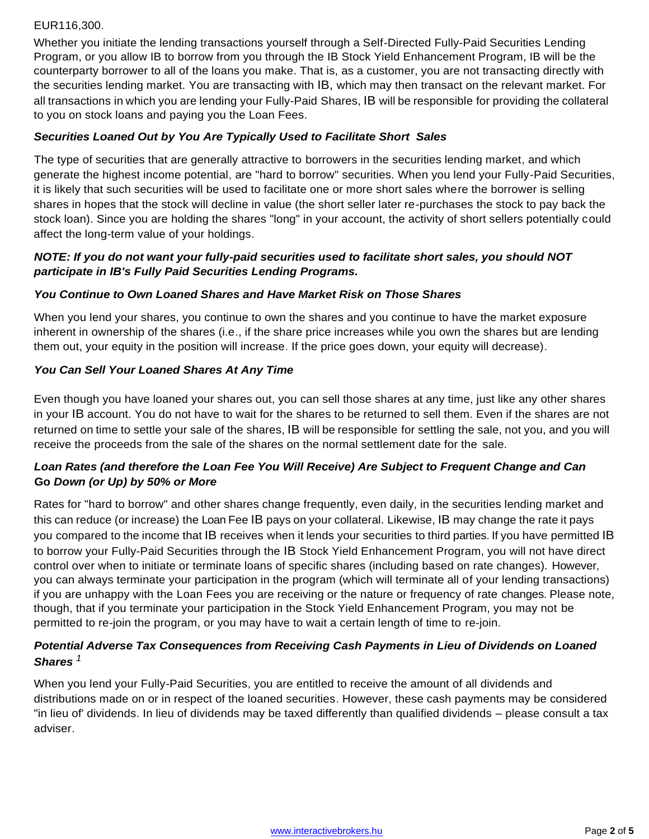## EUR116,300.

Whether you initiate the lending transactions yourself through a Self-Directed Fully-Paid Securities Lending Program, or you allow IB to borrow from you through the IB Stock Yield Enhancement Program, IB will be the counterparty borrower to all of the loans you make. That is, as a customer, you are not transacting directly with the securities lending market. You are transacting with IB, which may then transact on the relevant market. For all transactions in which you are lending your Fully-Paid Shares, IB will be responsible for providing the collateral to you on stock loans and paying you the Loan Fees.

## *Securities Loaned Out by You Are Typically Used to Facilitate Short Sales*

The type of securities that are generally attractive to borrowers in the securities lending market, and which generate the highest income potential, are "hard to borrow" securities. When you lend your Fully-Paid Securities, it is likely that such securities will be used to facilitate one or more short sales where the borrower is selling shares in hopes that the stock will decline in value (the short seller later re-purchases the stock to pay back the stock loan). Since you are holding the shares "long" in your account, the activity of short sellers potentially could affect the long-term value of your holdings.

## *NOTE: If you do not want your fully-paid securities used to facilitate short sales, you should NOT participate in IB's Fully Paid Securities Lending Programs.*

### *You Continue to Own Loaned Shares and Have Market Risk on Those Shares*

When you lend your shares, you continue to own the shares and you continue to have the market exposure inherent in ownership of the shares (i.e., if the share price increases while you own the shares but are lending them out, your equity in the position will increase. If the price goes down, your equity will decrease).

### *You Can Sell Your Loaned Shares At Any Time*

Even though you have loaned your shares out, you can sell those shares at any time, just like any other shares in your IB account. You do not have to wait for the shares to be returned to sell them. Even if the shares are not returned on time to settle your sale of the shares, IB will be responsible for settling the sale, not you, and you will receive the proceeds from the sale of the shares on the normal settlement date for the sale.

## *Loan Rates (and therefore the Loan Fee You Will Receive) Are Subject to Frequent Change and Can* **Go** *Down (or Up) by 50% or More*

Rates for "hard to borrow" and other shares change frequently, even daily, in the securities lending market and this can reduce (or increase) the Loan Fee IB pays on your collateral. Likewise, IB may change the rate it pays you compared to the income that IB receives when it lends your securities to third parties. If you have permitted IB to borrow your Fully-Paid Securities through the IB Stock Yield Enhancement Program, you will not have direct control over when to initiate or terminate loans of specific shares (including based on rate changes). However, you can always terminate your participation in the program (which will terminate all of your lending transactions) if you are unhappy with the Loan Fees you are receiving or the nature or frequency of rate changes. Please note, though, that if you terminate your participation in the Stock Yield Enhancement Program, you may not be permitted to re-join the program, or you may have to wait a certain length of time to re-join.

# *Potential Adverse Tax Consequences from Receiving Cash Payments in Lieu of Dividends on Loaned Shares <sup>1</sup>*

When you lend your Fully-Paid Securities, you are entitled to receive the amount of all dividends and distributions made on or in respect of the loaned securities. However, these cash payments may be considered "in lieu of' dividends. In lieu of dividends may be taxed differently than qualified dividends – please consult a tax adviser.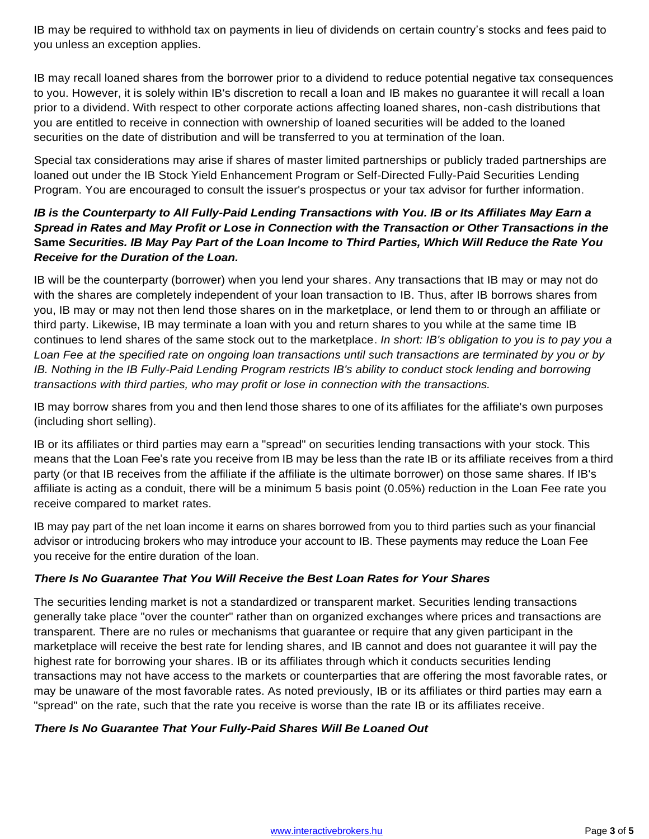IB may be required to withhold tax on payments in lieu of dividends on certain country's stocks and fees paid to you unless an exception applies.

IB may recall loaned shares from the borrower prior to a dividend to reduce potential negative tax consequences to you. However, it is solely within IB's discretion to recall a loan and IB makes no guarantee it will recall a loan prior to a dividend. With respect to other corporate actions affecting loaned shares, non-cash distributions that you are entitled to receive in connection with ownership of loaned securities will be added to the loaned securities on the date of distribution and will be transferred to you at termination of the loan.

Special tax considerations may arise if shares of master limited partnerships or publicly traded partnerships are loaned out under the IB Stock Yield Enhancement Program or Self-Directed Fully-Paid Securities Lending Program. You are encouraged to consult the issuer's prospectus or your tax advisor for further information.

## *IB is the Counterparty to All Fully-Paid Lending Transactions with You. IB or Its Affiliates May Earn a Spread in Rates and May Profit or Lose in Connection with the Transaction or Other Transactions in the*  **Same** *Securities. IB May Pay Part of the Loan Income to Third Parties, Which Will Reduce the Rate You Receive for the Duration of the Loan.*

IB will be the counterparty (borrower) when you lend your shares. Any transactions that IB may or may not do with the shares are completely independent of your loan transaction to IB. Thus, after IB borrows shares from you, IB may or may not then lend those shares on in the marketplace, or lend them to or through an affiliate or third party. Likewise, IB may terminate a loan with you and return shares to you while at the same time IB continues to lend shares of the same stock out to the marketplace. *In short: IB's obligation to you is to pay you a Loan Fee at the specified rate on ongoing loan transactions until such transactions are terminated by you or by IB. Nothing in the IB Fully-Paid Lending Program restricts IB's ability to conduct stock lending and borrowing transactions with third parties, who may profit or lose in connection with the transactions.*

IB may borrow shares from you and then lend those shares to one of its affiliates for the affiliate's own purposes (including short selling).

IB or its affiliates or third parties may earn a "spread" on securities lending transactions with your stock. This means that the Loan Fee's rate you receive from IB may be less than the rate IB or its affiliate receives from a third party (or that IB receives from the affiliate if the affiliate is the ultimate borrower) on those same shares. If IB's affiliate is acting as a conduit, there will be a minimum 5 basis point (0.05%) reduction in the Loan Fee rate you receive compared to market rates.

IB may pay part of the net loan income it earns on shares borrowed from you to third parties such as your financial advisor or introducing brokers who may introduce your account to IB. These payments may reduce the Loan Fee you receive for the entire duration of the loan.

# *There Is No Guarantee That You Will Receive the Best Loan Rates for Your Shares*

The securities lending market is not a standardized or transparent market. Securities lending transactions generally take place "over the counter" rather than on organized exchanges where prices and transactions are transparent. There are no rules or mechanisms that guarantee or require that any given participant in the marketplace will receive the best rate for lending shares, and IB cannot and does not guarantee it will pay the highest rate for borrowing your shares. IB or its affiliates through which it conducts securities lending transactions may not have access to the markets or counterparties that are offering the most favorable rates, or may be unaware of the most favorable rates. As noted previously, IB or its affiliates or third parties may earn a "spread" on the rate, such that the rate you receive is worse than the rate IB or its affiliates receive.

## *There Is No Guarantee That Your Fully-Paid Shares Will Be Loaned Out*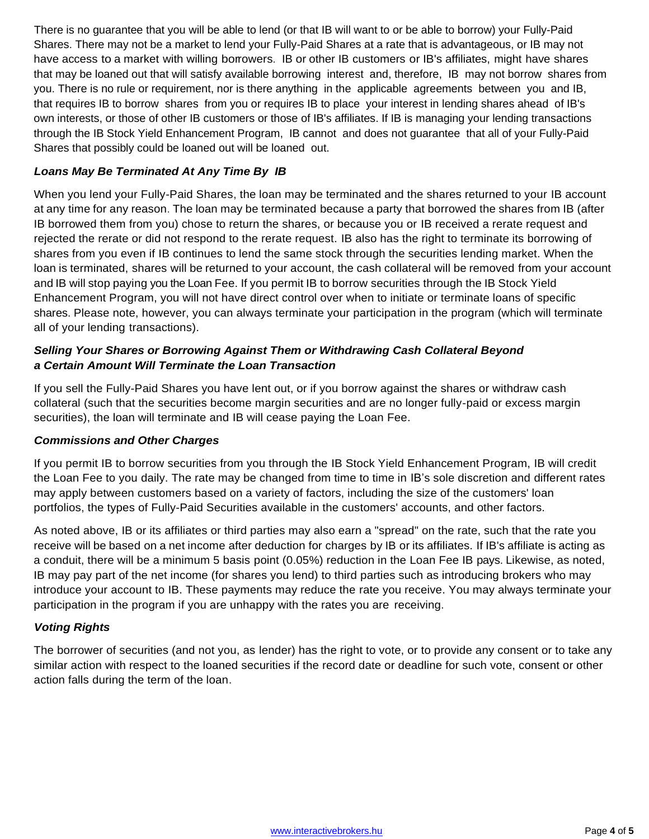There is no guarantee that you will be able to lend (or that IB will want to or be able to borrow) your Fully-Paid Shares. There may not be a market to lend your Fully-Paid Shares at a rate that is advantageous, or IB may not have access to a market with willing borrowers. IB or other IB customers or IB's affiliates, might have shares that may be loaned out that will satisfy available borrowing interest and, therefore, IB may not borrow shares from you. There is no rule or requirement, nor is there anything in the applicable agreements between you and IB, that requires IB to borrow shares from you or requires IB to place your interest in lending shares ahead of IB's own interests, or those of other IB customers or those of IB's affiliates. If IB is managing your lending transactions through the IB Stock Yield Enhancement Program, IB cannot and does not guarantee that all of your Fully-Paid Shares that possibly could be loaned out will be loaned out.

## *Loans May Be Terminated At Any Time By IB*

When you lend your Fully-Paid Shares, the loan may be terminated and the shares returned to your IB account at any time for any reason. The loan may be terminated because a party that borrowed the shares from IB (after IB borrowed them from you) chose to return the shares, or because you or IB received a rerate request and rejected the rerate or did not respond to the rerate request. IB also has the right to terminate its borrowing of shares from you even if IB continues to lend the same stock through the securities lending market. When the loan is terminated, shares will be returned to your account, the cash collateral will be removed from your account and IB will stop paying you the Loan Fee. If you permit IB to borrow securities through the IB Stock Yield Enhancement Program, you will not have direct control over when to initiate or terminate loans of specific shares. Please note, however, you can always terminate your participation in the program (which will terminate all of your lending transactions).

## *Selling Your Shares or Borrowing Against Them or Withdrawing Cash Collateral Beyond a Certain Amount Will Terminate the Loan Transaction*

If you sell the Fully-Paid Shares you have lent out, or if you borrow against the shares or withdraw cash collateral (such that the securities become margin securities and are no longer fully-paid or excess margin securities), the loan will terminate and IB will cease paying the Loan Fee.

#### *Commissions and Other Charges*

If you permit IB to borrow securities from you through the IB Stock Yield Enhancement Program, IB will credit the Loan Fee to you daily. The rate may be changed from time to time in IB's sole discretion and different rates may apply between customers based on a variety of factors, including the size of the customers' loan portfolios, the types of Fully-Paid Securities available in the customers' accounts, and other factors.

As noted above, IB or its affiliates or third parties may also earn a "spread" on the rate, such that the rate you receive will be based on a net income after deduction for charges by IB or its affiliates. If IB's affiliate is acting as a conduit, there will be a minimum 5 basis point (0.05%) reduction in the Loan Fee IB pays. Likewise, as noted, IB may pay part of the net income (for shares you lend) to third parties such as introducing brokers who may introduce your account to IB. These payments may reduce the rate you receive. You may always terminate your participation in the program if you are unhappy with the rates you are receiving.

## *Voting Rights*

The borrower of securities (and not you, as lender) has the right to vote, or to provide any consent or to take any similar action with respect to the loaned securities if the record date or deadline for such vote, consent or other action falls during the term of the loan.